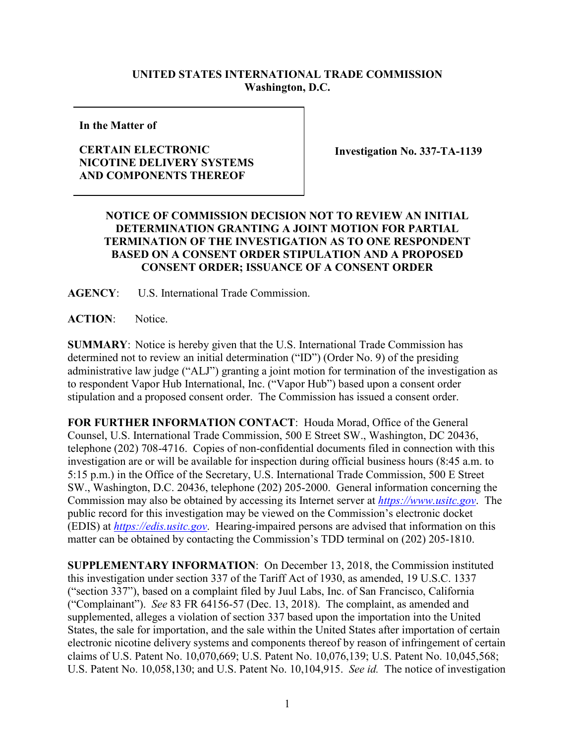## **UNITED STATES INTERNATIONAL TRADE COMMISSION Washington, D.C.**

**In the Matter of**

## **CERTAIN ELECTRONIC NICOTINE DELIVERY SYSTEMS AND COMPONENTS THEREOF**

**Investigation No. 337-TA-1139**

## **NOTICE OF COMMISSION DECISION NOT TO REVIEW AN INITIAL DETERMINATION GRANTING A JOINT MOTION FOR PARTIAL TERMINATION OF THE INVESTIGATION AS TO ONE RESPONDENT BASED ON A CONSENT ORDER STIPULATION AND A PROPOSED CONSENT ORDER; ISSUANCE OF A CONSENT ORDER**

**AGENCY**: U.S. International Trade Commission.

**ACTION**: Notice.

**SUMMARY**: Notice is hereby given that the U.S. International Trade Commission has determined not to review an initial determination ("ID") (Order No. 9) of the presiding administrative law judge ("ALJ") granting a joint motion for termination of the investigation as to respondent Vapor Hub International, Inc. ("Vapor Hub") based upon a consent order stipulation and a proposed consent order. The Commission has issued a consent order.

**FOR FURTHER INFORMATION CONTACT**: Houda Morad, Office of the General Counsel, U.S. International Trade Commission, 500 E Street SW., Washington, DC 20436, telephone (202) 708-4716. Copies of non-confidential documents filed in connection with this investigation are or will be available for inspection during official business hours (8:45 a.m. to 5:15 p.m.) in the Office of the Secretary, U.S. International Trade Commission, 500 E Street SW., Washington, D.C. 20436, telephone (202) 205-2000. General information concerning the Commission may also be obtained by accessing its Internet server at *[https://www.usitc.gov](https://www.usitc.gov/)*. The public record for this investigation may be viewed on the Commission's electronic docket (EDIS) at *[https://edis.usitc.gov](http://edis.usitc.gov/)*. Hearing-impaired persons are advised that information on this matter can be obtained by contacting the Commission's TDD terminal on (202) 205-1810.

**SUPPLEMENTARY INFORMATION**: On December 13, 2018, the Commission instituted this investigation under section 337 of the Tariff Act of 1930, as amended, 19 U.S.C. 1337 ("section 337"), based on a complaint filed by Juul Labs, Inc. of San Francisco, California ("Complainant"). *See* 83 FR 64156-57 (Dec. 13, 2018). The complaint, as amended and supplemented, alleges a violation of section 337 based upon the importation into the United States, the sale for importation, and the sale within the United States after importation of certain electronic nicotine delivery systems and components thereof by reason of infringement of certain claims of U.S. Patent No. 10,070,669; U.S. Patent No. 10,076,139; U.S. Patent No. 10,045,568; U.S. Patent No. 10,058,130; and U.S. Patent No. 10,104,915. *See id.* The notice of investigation